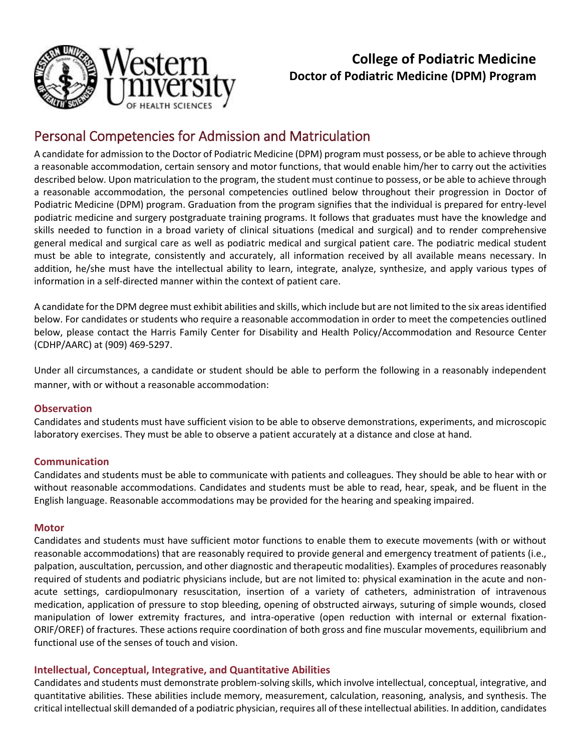

# **College of Podiatric Medicine Doctor of Podiatric Medicine (DPM) Program**

# Personal Competencies for Admission and Matriculation

A candidate for admission to the Doctor of Podiatric Medicine (DPM) program must possess, or be able to achieve through a reasonable accommodation, certain sensory and motor functions, that would enable him/her to carry out the activities described below. Upon matriculation to the program, the student must continue to possess, or be able to achieve through a reasonable accommodation, the personal competencies outlined below throughout their progression in Doctor of Podiatric Medicine (DPM) program. Graduation from the program signifies that the individual is prepared for entry-level podiatric medicine and surgery postgraduate training programs. It follows that graduates must have the knowledge and skills needed to function in a broad variety of clinical situations (medical and surgical) and to render comprehensive general medical and surgical care as well as podiatric medical and surgical patient care. The podiatric medical student must be able to integrate, consistently and accurately, all information received by all available means necessary. In addition, he/she must have the intellectual ability to learn, integrate, analyze, synthesize, and apply various types of information in a self-directed manner within the context of patient care.

A candidate for the DPM degree must exhibit abilities and skills, which include but are not limited to the six areas identified below. For candidates or students who require a reasonable accommodation in order to meet the competencies outlined below, please contact the Harris Family Center for Disability and Health Policy/Accommodation and Resource Center (CDHP/AARC) at (909) 469-5297.

Under all circumstances, a candidate or student should be able to perform the following in a reasonably independent manner, with or without a reasonable accommodation:

## **Observation**

Candidates and students must have sufficient vision to be able to observe demonstrations, experiments, and microscopic laboratory exercises. They must be able to observe a patient accurately at a distance and close at hand.

## **Communication**

Candidates and students must be able to communicate with patients and colleagues. They should be able to hear with or without reasonable accommodations. Candidates and students must be able to read, hear, speak, and be fluent in the English language. Reasonable accommodations may be provided for the hearing and speaking impaired.

#### **Motor**

Candidates and students must have sufficient motor functions to enable them to execute movements (with or without reasonable accommodations) that are reasonably required to provide general and emergency treatment of patients (i.e., palpation, auscultation, percussion, and other diagnostic and therapeutic modalities). Examples of procedures reasonably required of students and podiatric physicians include, but are not limited to: physical examination in the acute and nonacute settings, cardiopulmonary resuscitation, insertion of a variety of catheters, administration of intravenous medication, application of pressure to stop bleeding, opening of obstructed airways, suturing of simple wounds, closed manipulation of lower extremity fractures, and intra-operative (open reduction with internal or external fixation-ORIF/OREF) of fractures. These actions require coordination of both gross and fine muscular movements, equilibrium and functional use of the senses of touch and vision.

## **Intellectual, Conceptual, Integrative, and Quantitative Abilities**

Candidates and students must demonstrate problem-solving skills, which involve intellectual, conceptual, integrative, and quantitative abilities. These abilities include memory, measurement, calculation, reasoning, analysis, and synthesis. The critical intellectual skill demanded of a podiatric physician, requires all of these intellectual abilities. In addition, candidates